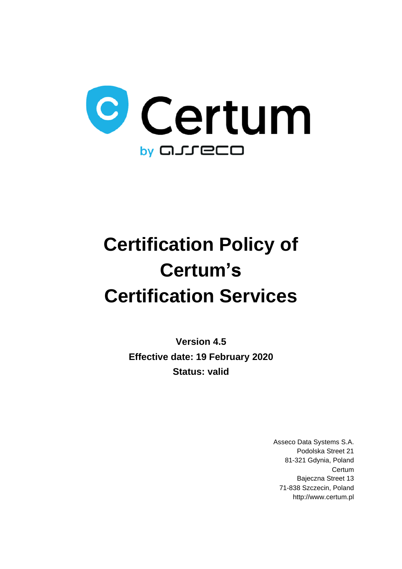

# **Certification Policy of Certum's Certification Services**

**Version 4.5 Effective date: 19 February 2020 Status: valid**

> Asseco Data Systems S.A. Podolska Street 21 81-321 Gdynia, Poland **Certum** Bajeczna Street 13 71-838 Szczecin, Poland http://www.certum.pl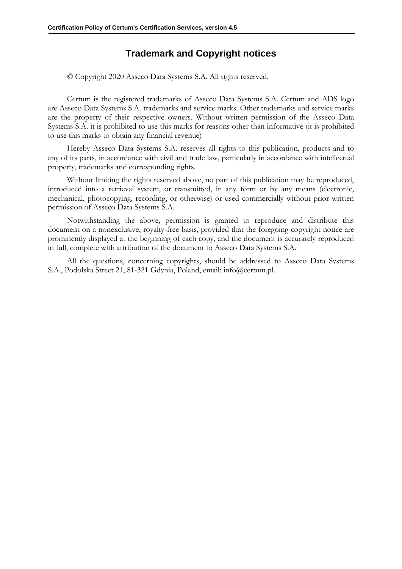#### **Trademark and Copyright notices**

© Copyright 2020 Asseco Data Systems S.A. All rights reserved.

Certum is the registered trademarks of Asseco Data Systems S.A. Certum and ADS logo are Asseco Data Systems S.A. trademarks and service marks. Other trademarks and service marks are the property of their respective owners. Without written permission of the Asseco Data Systems S.A. it is prohibited to use this marks for reasons other than informative (it is prohibited to use this marks to obtain any financial revenue)

Hereby Asseco Data Systems S.A. reserves all rights to this publication, products and to any of its parts, in accordance with civil and trade law, particularly in accordance with intellectual property, trademarks and corresponding rights.

Without limiting the rights reserved above, no part of this publication may be reproduced, introduced into a retrieval system, or transmitted, in any form or by any means (electronic, mechanical, photocopying, recording, or otherwise) or used commercially without prior written permission of Asseco Data Systems S.A.

Notwithstanding the above, permission is granted to reproduce and distribute this document on a nonexclusive, royalty-free basis, provided that the foregoing copyright notice are prominently displayed at the beginning of each copy, and the document is accurately reproduced in full, complete with attribution of the document to Asseco Data Systems S.A.

All the questions, concerning copyrights, should be addressed to Asseco Data Systems S.A., Podolska Street 21, 81-321 Gdynia, Poland, email: info@certum.pl.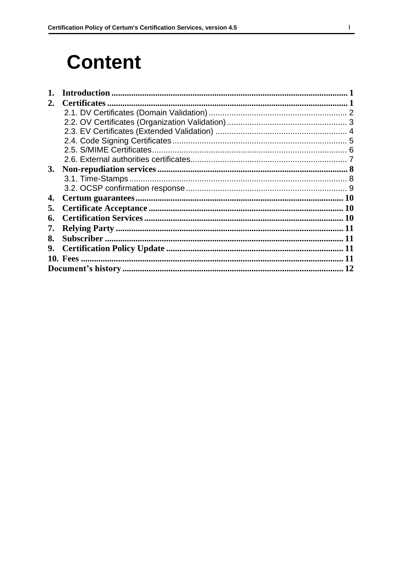## **Content**

| 2. | <b>Certificates</b> |    |
|----|---------------------|----|
|    |                     |    |
|    |                     |    |
|    |                     |    |
|    |                     |    |
|    |                     |    |
|    |                     |    |
| 3. |                     |    |
|    |                     |    |
|    |                     |    |
| 4. |                     |    |
| 5. |                     |    |
| 6. |                     |    |
| 7. |                     |    |
| 8. |                     |    |
| 9. |                     |    |
|    | <b>10. Fees</b>     |    |
|    |                     | 12 |
|    |                     |    |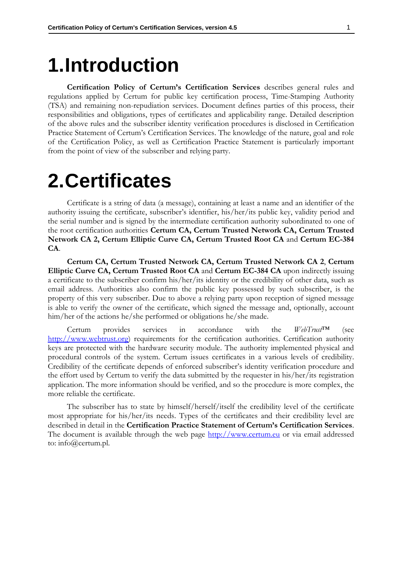### <span id="page-3-0"></span>**1.Introduction**

**Certification Policy of Certum's Certification Services** describes general rules and regulations applied by Certum for public key certification process, Time-Stamping Authority (TSA) and remaining non-repudiation services. Document defines parties of this process, their responsibilities and obligations, types of certificates and applicability range. Detailed description of the above rules and the subscriber identity verification procedures is disclosed in Certification Practice Statement of Certum's Certification Services. The knowledge of the nature, goal and role of the Certification Policy, as well as Certification Practice Statement is particularly important from the point of view of the subscriber and relying party.

### <span id="page-3-1"></span>**2.Certificates**

Certificate is a string of data (a message), containing at least a name and an identifier of the authority issuing the certificate, subscriber's identifier, his/her/its public key, validity period and the serial number and is signed by the intermediate certification authority subordinated to one of the root certification authorities **Certum CA, Certum Trusted Network CA, Certum Trusted Network CA 2, Certum Elliptic Curve CA, Certum Trusted Root CA** and **Certum EC-384 CA**.

**Certum CA, Certum Trusted Network CA, Certum Trusted Network CA 2**, **Certum Elliptic Curve CA, Certum Trusted Root CA** and **Certum EC-384 CA** upon indirectly issuing a certificate to the subscriber confirm his/her/its identity or the credibility of other data, such as email address. Authorities also confirm the public key possessed by such subscriber, is the property of this very subscriber. Due to above a relying party upon reception of signed message is able to verify the owner of the certificate, which signed the message and, optionally, account him/her of the actions he/she performed or obligations he/she made.

Certum provides services in accordance with the *WebTrust*™ (see [http://www.webtrust.org\)](http://www.webtrust.org/) requirements for the certification authorities. Certification authority keys are protected with the hardware security module. The authority implemented physical and procedural controls of the system. Certum issues certificates in a various levels of credibility. Credibility of the certificate depends of enforced subscriber's identity verification procedure and the effort used by Certum to verify the data submitted by the requester in his/her/its registration application. The more information should be verified, and so the procedure is more complex, the more reliable the certificate.

The subscriber has to state by himself/herself/itself the credibility level of the certificate most appropriate for his/her/its needs. Types of the certificates and their credibility level are described in detail in the **Certification Practice Statement of Certum's Certification Services**. The document is available through the web page [http://www.certum.eu](http://www.certum.eu/) or via email addressed to: info@certum.pl.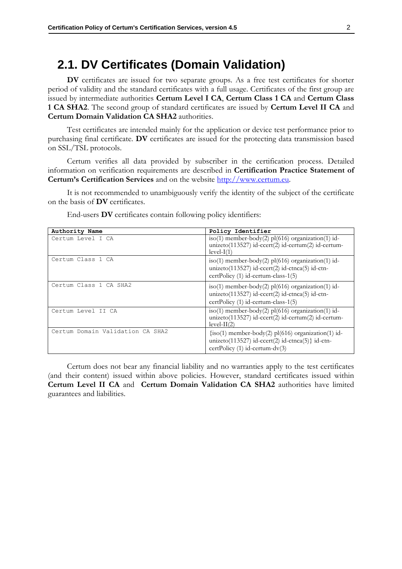#### <span id="page-4-0"></span>**2.1. DV Certificates (Domain Validation)**

**DV** certificates are issued for two separate groups. As a free test certificates for shorter period of validity and the standard certificates with a full usage. Certificates of the first group are issued by intermediate authorities **Certum Level I CA**, **Certum Class 1 CA** and **Certum Class 1 CA SHA2**. The second group of standard certificates are issued by **Certum Level II CA** and **Certum Domain Validation CA SHA2** authorities.

Test certificates are intended mainly for the application or device test performance prior to purchasing final certificate. **DV** certificates are issued for the protecting data transmission based on SSL/TSL protocols.

Certum verifies all data provided by subscriber in the certification process. Detailed information on verification requirements are described in **Certification Practice Statement of Certum's Certification Services** and on the website [http://www.certum.eu.](http://www.certum.eu/)

It is not recommended to unambiguously verify the identity of the subject of the certificate on the basis of **DV** certificates.

| Authority Name                   | Policy Identifier                                                                                                                                |
|----------------------------------|--------------------------------------------------------------------------------------------------------------------------------------------------|
| Certum Level I CA                | $iso(1)$ member-body(2) pl(616) organization(1) id-<br>unizeto(113527) id-ccert(2) id-certum(2) id-certum-<br>$level-I(1)$                       |
| Certum Class 1 CA                | iso(1) member-body(2) pl(616) organization(1) id-<br>unizeto(113527) id-ccert(2) id-ctnca(5) id-ctn-<br>certPolicy (1) id-certum-class-1(5)      |
| Certum Class 1 CA SHA2           | $iso(1)$ member-body(2) pl(616) organization(1) id-<br>unizeto(113527) id-ccert(2) id-ctnca(5) id-ctn-<br>certPolicy (1) id-certum-class-1(5)    |
| Certum Level II CA               | $iso(1)$ member-body(2) pl(616) organization(1) id-<br>unizeto(113527) id-ccert(2) id-certum(2) id-certum-<br>$level-II(2)$                      |
| Certum Domain Validation CA SHA2 | $\{iso(1)$ member-body(2) pl(616) organization(1) id-<br>unizeto(113527) id-ccert(2) id-ctnca(5)} id-ctn-<br>certPolicy $(1)$ id-certum-dv $(3)$ |

End-users **DV** certificates contain following policy identifiers:

Certum does not bear any financial liability and no warranties apply to the test certificates (and their content) issued within above policies. However, standard certificates issued within **Certum Level II CA** and **Certum Domain Validation CA SHA2** authorities have limited guarantees and liabilities.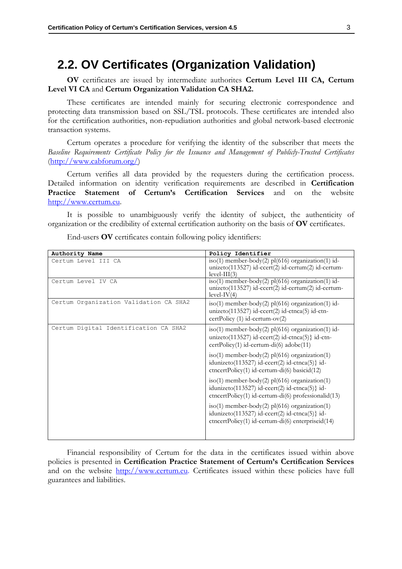#### <span id="page-5-0"></span>**2.2. OV Certificates (Organization Validation)**

**OV** certificates are issued by intermediate authorites **Certum Level III CA, Certum Level VI CA** and **Certum Organization Validation CA SHA2.**

These certificates are intended mainly for securing electronic correspondence and protecting data transmission based on SSL/TSL protocols. These certificates are intended also for the certification authorities, non-repudiation authorities and global network-based electronic transaction systems.

Certum operates a procedure for verifying the identity of the subscriber that meets the *Baseline Requirements Certificate Policy for the Issuance and Management of Publicly-Trusted Certificates* [\(http://www.cabforum.org/\)](http://www.cabforum.org/)

Certum verifies all data provided by the requesters during the certification process. Detailed information on identity verification requirements are described in **Certification Practice Statement of Certum's Certification Services** and on the website [http://www.certum.eu.](http://www.certum.eu/)

It is possible to unambiguously verify the identity of subject, the authenticity of organization or the credibility of external certification authority on the basis of **OV** certificates.

| Authority Name                         | Policy Identifier                                                                                                                                              |
|----------------------------------------|----------------------------------------------------------------------------------------------------------------------------------------------------------------|
| Certum Level III CA                    | $iso(1)$ member-body(2) pl(616) organization(1) id-<br>unizeto(113527) id-ccert(2) id-certum(2) id-certum-<br>$level-III(3)$                                   |
| Certum Level IV CA                     | $iso(1)$ member-body(2) pl(616) organization(1) id-<br>unizeto(113527) id-ccert(2) id-certum(2) id-certum-<br>$level-IV(4)$                                    |
| Certum Organization Validation CA SHA2 | $iso(1)$ member-body(2) pl(616) organization(1) id-<br>unizeto(113527) id-ccert(2) id-ctnca(5) id-ctn-<br>certPolicy (1) id-certum-ov(2)                       |
| Certum Digital Identification CA SHA2  | $iso(1)$ member-body(2) pl(616) organization(1) id-<br>unizeto $(113527)$ id-ccert $(2)$ id-ctnca $(5)$ } id-ctn-<br>$certPolicy(1) id-certum-di(6) adobe(11)$ |
|                                        | $iso(1)$ member-body(2) pl(616) organization(1)<br>idunizeto(113527) id-ccert(2) id-ctnca(5)} id-<br>ctncertPolicy(1) id-certum-di(6) basicid(12)              |
|                                        | $iso(1)$ member-body(2) pl(616) organization(1)<br>idunizeto(113527) id-ccert(2) id-ctnca(5)} id-<br>ctncertPolicy(1) id-certum-di(6) professionalid(13)       |
|                                        | $iso(1)$ member-body(2) pl(616) organization(1)<br>idunizeto(113527) id-ccert(2) id-ctnca(5)} id-<br>ctncertPolicy(1) id-certum-di(6) enterprised(14)          |

End-users **OV** certificates contain following policy identifiers:

Financial responsibility of Certum for the data in the certificates issued within above policies is presented in **Certification Practice Statement of Certum's Certification Services** and on the website [http://www.certum.eu.](http://www.certum.eu/) Certificates issued within these policies have full guarantees and liabilities.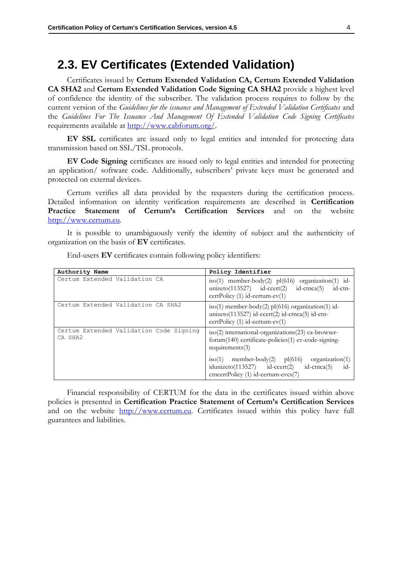#### <span id="page-6-0"></span>**2.3. EV Certificates (Extended Validation)**

Certificates issued by **Certum Extended Validation CA, Certum Extended Validation CA SHA2** and **Certum Extended Validation Code Signing CA SHA2** provide a highest level of confidence the identity of the subscriber. The validation process requires to follow by the current version of the *Guidelines for the issuance and Management of Extended Validation Certificates* and the *Guidelines For The Issuance And Management Of Extended Validation Code Signing Certificates* requirements available at [http://www.cabforum.org/.](http://www.cabforum.org/)

**EV SSL** certificates are issued only to legal entities and intended for protecting data transmission based on SSL/TSL protocols.

**EV Code Signing** certificates are issued only to legal entities and intended for protecting an application/ software code. Additionally, subscribers' private keys must be generated and protected on external devices.

Certum verifies all data provided by the requesters during the certification process. Detailed information on identity verification requirements are described in **Certification Practice Statement of Certum's Certification Services** and on the website [http://www.certum.eu.](http://www.certum.eu/)

It is possible to unambiguously verify the identity of subject and the authenticity of organization on the basis of **EV** certificates.

| Authority Name                                     | Policy Identifier                                                                                                                                          |
|----------------------------------------------------|------------------------------------------------------------------------------------------------------------------------------------------------------------|
| Certum Extended Validation CA                      | iso(1) member-body(2) pl(616) organization(1) id-<br>unizero $(113527)$ id-ccert $(2)$<br>id-ctn-<br>$id$ -ctnca $(5)$<br>$certPolicy(1) id-certum-ev(1)$  |
| Certum Extended Validation CA SHA2                 | iso(1) member-body(2) pl(616) organization(1) id-<br>unizeto(113527) id-ccert(2) id-ctnca(5) id-ctn-<br>$certPolicy(1) id-certum-ev(1)$                    |
| Certum Extended Validation Code Signing<br>CA SHA2 | iso(2) international-organizations(23) ca-browser-<br>forum(140) certificate-policies(1) ev-code-signing-<br>requirements(3)                               |
|                                                    | $iso(1)$ member-body(2) $pl(616)$<br>organization(1)<br>$idunizedo(113527)$ $id-ccert(2)$<br>$id-$<br>$id-ctnca(5)$<br>ctncertPolicy (1) id-certum-evcs(7) |

End-users **EV** certificates contain following policy identifiers:

Financial responsibility of CERTUM for the data in the certificates issued within above policies is presented in **Certification Practice Statement of Certum's Certification Services** and on the website [http://www.certum.eu.](http://www.certum.eu/) Certificates issued within this policy have full guarantees and liabilities.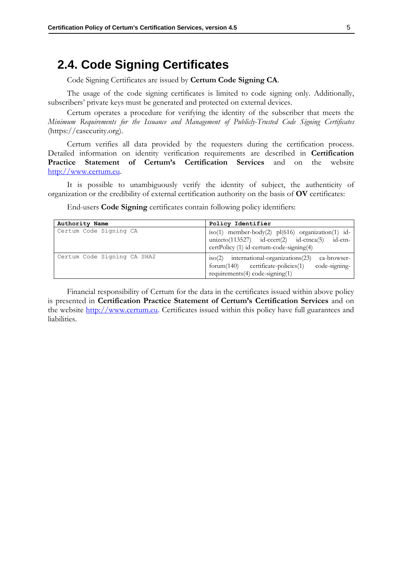#### <span id="page-7-0"></span>**2.4. Code Signing Certificates**

Code Signing Certificates are issued by **Certum Code Signing CA**.

The usage of the code signing certificates is limited to code signing only. Additionally, subscribers' private keys must be generated and protected on external devices.

Certum operates a procedure for verifying the identity of the subscriber that meets the *Minimum Requirements for the Issuance and Management of Publicly-Trusted Code Signing Certificates* (https://casecurity.org).

Certum verifies all data provided by the requesters during the certification process. Detailed information on identity verification requirements are described in **Certification Practice Statement of Certum's Certification Services** and on the website [http://www.certum.eu.](http://www.certum.eu/)

It is possible to unambiguously verify the identity of subject, the authenticity of organization or the credibility of external certification authority on the basis of **OV** certificates:

End-users **Code Signing** certificates contain following policy identifiers:

| Authority Name              | Policy Identifier                                                                                                                                              |
|-----------------------------|----------------------------------------------------------------------------------------------------------------------------------------------------------------|
| Certum Code Signing CA      | iso(1) member-body(2) $pl(616)$ organization(1) id-<br>unizero $(113527)$ id-ccert $(2)$ id-ctnca $(5)$<br>id-ctn-<br>certPolicy (1) id-certum-code-signing(4) |
| Certum Code Signing CA SHA2 | $iso(2)$ international-organizations(23)<br>ca-browser-<br>code-signing-<br>$formula(140)$ certificate-policies $(1)$<br>requirements $(4)$ code-signing $(1)$ |

Financial responsibility of Certum for the data in the certificates issued within above policy is presented in **Certification Practice Statement of Certum's Certification Services** and on the website [http://www.certum.eu.](http://www.certum.eu/) Certificates issued within this policy have full guarantees and liabilities.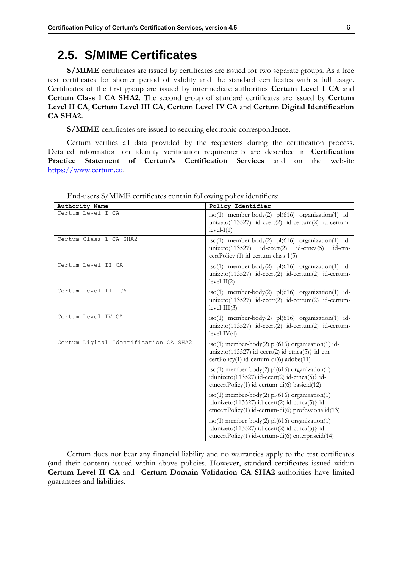#### <span id="page-8-0"></span>**2.5. S/MIME Certificates**

**S/MIME** certificates are issued by certificates are issued for two separate groups. As a free test certificates for shorter period of validity and the standard certificates with a full usage. Certificates of the first group are issued by intermediate authorities **Certum Level I CA** and **Certum Class 1 CA SHA2**. The second group of standard certificates are issued by **Certum Level II CA**, **Certum Level III CA**, **Certum Level IV CA** and **Certum Digital Identification CA SHA2.**

**S/MIME** certificates are issued to securing electronic correspondence.

Certum verifies all data provided by the requesters during the certification process. Detailed information on identity verification requirements are described in **Certification Practice Statement of Certum's Certification Services** and on the website [https://www.certum.eu.](https://www.certum.eu/)

| Authority Name                        | Policy Identifier                                                                                                                                            |
|---------------------------------------|--------------------------------------------------------------------------------------------------------------------------------------------------------------|
| Certum Level I CA                     | iso(1) member-body(2) pl(616) organization(1) id-<br>unizeto(113527) id-ccert(2) id-certum(2) id-certum-<br>$level-I(1)$                                     |
| Certum Class 1 CA SHA2                | iso(1) member-body(2) pl(616) organization(1) id-<br>unizero $(113527)$ id-ccert $(2)$ id-ctnca $(5)$<br>id-ctn-<br>certPolicy (1) id-certum-class-1(5)      |
| Certum Level II CA                    | iso(1) member-body(2) $p1(616)$ organization(1) id-<br>unizeto(113527) id-ccert(2) id-certum(2) id-certum-<br>$level-II(2)$                                  |
| Certum Level III CA                   | iso(1) member-body(2) $p1(616)$ organization(1) id-<br>unizeto(113527) id-ccert(2) id-certum(2) id-certum-<br>$level-III(3)$                                 |
| Certum Level IV CA                    | iso(1) member-body(2) $p1(616)$ organization(1) id-<br>unizeto(113527) id-ccert(2) id-certum(2) id-certum-<br>$level-IV(4)$                                  |
| Certum Digital Identification CA SHA2 | $iso(1)$ member-body(2) pl(616) organization(1) id-<br>unizeto $(113527)$ id-ccert $(2)$ id-ctnca $(5)$ } id-ctn-<br>certPolicy(1) id-certum-di(6) adobe(11) |
|                                       | $iso(1)$ member-body(2) pl(616) organization(1)<br>idunizeto(113527) id-ccert(2) id-ctnca(5)} id-<br>ctncertPolicy(1) id-certum-di(6) basicid(12)            |
|                                       | iso(1) member-body(2) pl(616) organization(1)<br>idunizeto(113527) id-ccert(2) id-ctnca(5)} id-<br>ctncertPolicy(1) id-certum-di(6) professionalid(13)       |
|                                       | $iso(1)$ member-body(2) pl(616) organization(1)<br>idunizeto(113527) id-ccert(2) id-ctnca(5)} id-<br>ctncertPolicy(1) id-certum-di(6) enterpriseid(14)       |

End-users S/MIME certificates contain following policy identifiers:

Certum does not bear any financial liability and no warranties apply to the test certificates (and their content) issued within above policies. However, standard certificates issued within **Certum Level II CA** and **Certum Domain Validation CA SHA2** authorities have limited guarantees and liabilities.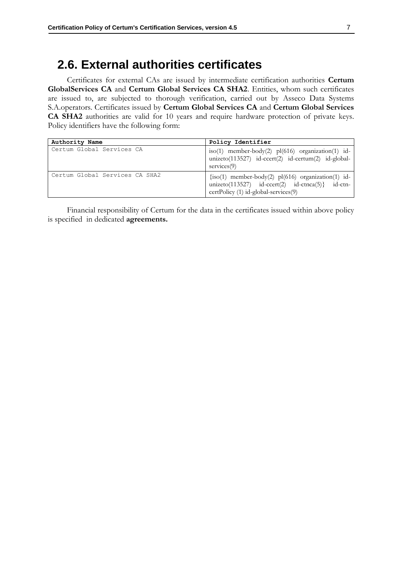#### <span id="page-9-0"></span>**2.6. External authorities certificates**

Certificates for external CAs are issued by intermediate certification authorities **Certum GlobalServices CA** and **Certum Global Services CA SHA2**. Entities, whom such certificates are issued to, are subjected to thorough verification, carried out by Asseco Data Systems S.A.operators. Certificates issued by **Certum Global Services CA** and **Certum Global Services CA SHA2** authorities are valid for 10 years and require hardware protection of private keys. Policy identifiers have the following form:

| Authority Name                 | Policy Identifier                                                                                                                                 |
|--------------------------------|---------------------------------------------------------------------------------------------------------------------------------------------------|
| Certum Global Services CA      | iso(1) member-body(2) pl(616) organization(1) id-<br>unizeto(113527) id-ccert(2) id-certum(2) id-global-<br>$s$ ervices $(9)$                     |
| Certum Global Services CA SHA2 | $\{iso(1)$ member-body(2) pl(616) organization(1) id-<br>unizeto(113527) id-ccert(2) id-ctnca(5)} id-ctn-<br>certPolicy (1) id-global-services(9) |

Financial responsibility of Certum for the data in the certificates issued within above policy is specified in dedicated **agreements.**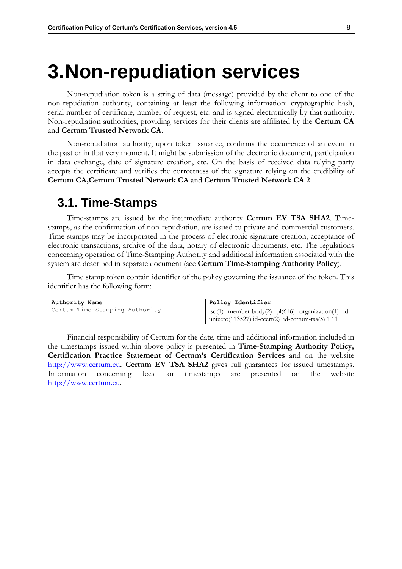### <span id="page-10-0"></span>**3.Non-repudiation services**

Non-repudiation token is a string of data (message) provided by the client to one of the non-repudiation authority, containing at least the following information: cryptographic hash, serial number of certificate, number of request, etc. and is signed electronically by that authority. Non-repudiation authorities, providing services for their clients are affiliated by the **Certum CA** and **Certum Trusted Network CA**.

Non-repudiation authority, upon token issuance, confirms the occurrence of an event in the past or in that very moment. It might be submission of the electronic document, participation in data exchange, date of signature creation, etc. On the basis of received data relying party accepts the certificate and verifies the correctness of the signature relying on the credibility of **Certum CA,Certum Trusted Network CA** and **Certum Trusted Network CA 2**

#### <span id="page-10-1"></span>**3.1. Time-Stamps**

Time-stamps are issued by the intermediate authority **Certum EV TSA SHA2**. Timestamps, as the confirmation of non-repudiation, are issued to private and commercial customers. Time stamps may be incorporated in the process of electronic signature creation, acceptance of electronic transactions, archive of the data, notary of electronic documents, etc. The regulations concerning operation of Time-Stamping Authority and additional information associated with the system are described in separate document (see **Certum Time-Stamping Authority Policy**).

Time stamp token contain identifier of the policy governing the issuance of the token. This identifier has the following form:

| Authority Name                 | Policy Identifier                                                                                                 |
|--------------------------------|-------------------------------------------------------------------------------------------------------------------|
| Certum Time-Stamping Authority | iso(1) member-body(2) $pl(616)$ organization(1) id-<br>unizeto $(113527)$ id-ccert $(2)$ id-certum-tsa $(5)$ 1 11 |

Financial responsibility of Certum for the date, time and additional information included in the timestamps issued within above policy is presented in **Time-Stamping Authority Policy, Certification Practice Statement of Certum's Certification Services** and on the website [http://www.certum.eu](http://www.certum.eu/)**. Certum EV TSA SHA2** gives full guarantees for issued timestamps. Information concerning fees for timestamps are presented on the website [http://www.certum.eu.](http://www.certum.eu/)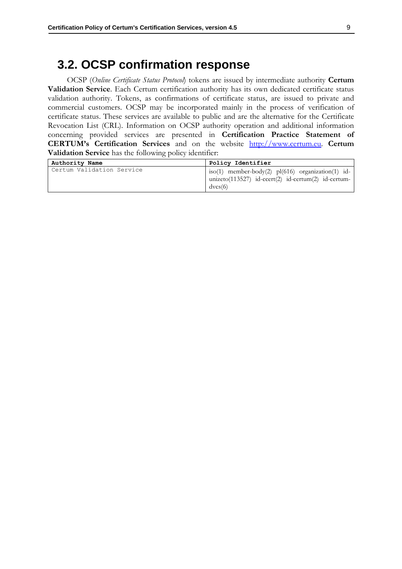#### <span id="page-11-0"></span>**3.2. OCSP confirmation response**

OCSP (*Online Certificate Status Protocol*) tokens are issued by intermediate authority **Certum Validation Service**. Each Certum certification authority has its own dedicated certificate status validation authority. Tokens, as confirmations of certificate status, are issued to private and commercial customers. OCSP may be incorporated mainly in the process of verification of certificate status. These services are available to public and are the alternative for the Certificate Revocation List (CRL). Information on OCSP authority operation and additional information concerning provided services are presented in **Certification Practice Statement of CERTUM's Certification Services** and on the website [http://www.certum.eu.](http://www.certum.eu/) **Certum Validation Service** has the following policy identifier:

| Authority Name            | Policy Identifier                                                                                                     |
|---------------------------|-----------------------------------------------------------------------------------------------------------------------|
| Certum Validation Service | iso(1) member-body(2) $pl(616)$ organization(1) id-<br>unizeto(113527) id-ccert(2) id-certum(2) id-certum-<br>dvcs(6) |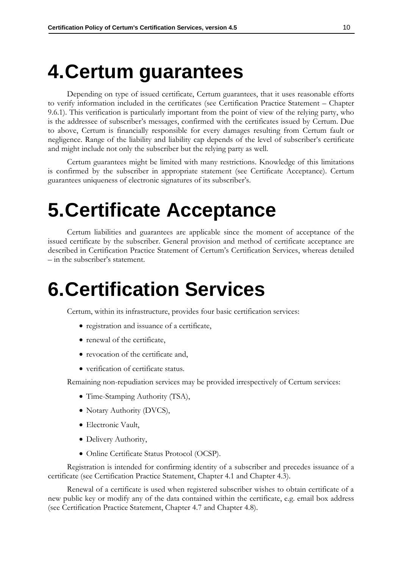## <span id="page-12-0"></span>**4.Certum guarantees**

Depending on type of issued certificate, Certum guarantees, that it uses reasonable efforts to verify information included in the certificates (see Certification Practice Statement – Chapter 9.6.1). This verification is particularly important from the point of view of the relying party, who is the addressee of subscriber's messages, confirmed with the certificates issued by Certum. Due to above, Certum is financially responsible for every damages resulting from Certum fault or negligence. Range of the liability and liability cap depends of the level of subscriber's certificate and might include not only the subscriber but the relying party as well.

Certum guarantees might be limited with many restrictions. Knowledge of this limitations is confirmed by the subscriber in appropriate statement (see Certificate Acceptance). Certum guarantees uniqueness of electronic signatures of its subscriber's.

### <span id="page-12-1"></span>**5.Certificate Acceptance**

Certum liabilities and guarantees are applicable since the moment of acceptance of the issued certificate by the subscriber. General provision and method of certificate acceptance are described in Certification Practice Statement of Certum's Certification Services, whereas detailed – in the subscriber's statement.

### <span id="page-12-2"></span>**6.Certification Services**

Certum, within its infrastructure, provides four basic certification services:

- registration and issuance of a certificate,
- renewal of the certificate,
- revocation of the certificate and,
- verification of certificate status.

Remaining non-repudiation services may be provided irrespectively of Certum services:

- Time-Stamping Authority (TSA),
- Notary Authority (DVCS),
- Electronic Vault,
- Delivery Authority,
- Online Certificate Status Protocol (OCSP).

Registration is intended for confirming identity of a subscriber and precedes issuance of a certificate (see Certification Practice Statement, Chapter 4.1 and Chapter 4.3).

Renewal of a certificate is used when registered subscriber wishes to obtain certificate of a new public key or modify any of the data contained within the certificate, e.g. email box address (see Certification Practice Statement, Chapter 4.7 and Chapter 4.8).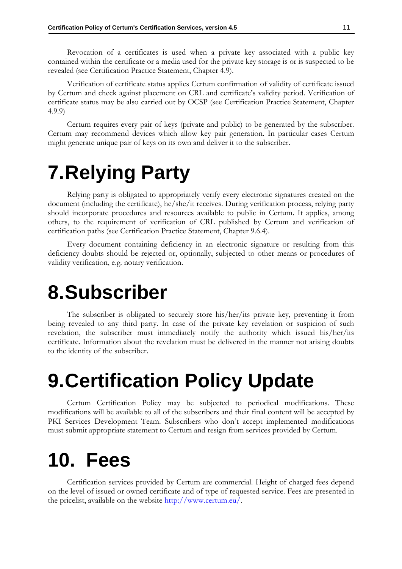Revocation of a certificates is used when a private key associated with a public key contained within the certificate or a media used for the private key storage is or is suspected to be revealed (see Certification Practice Statement, Chapter 4.9).

Verification of certificate status applies Certum confirmation of validity of certificate issued by Certum and check against placement on CRL and certificate's validity period. Verification of certificate status may be also carried out by OCSP (see Certification Practice Statement, Chapter 4.9.9)

Certum requires every pair of keys (private and public) to be generated by the subscriber. Certum may recommend devices which allow key pair generation. In particular cases Certum might generate unique pair of keys on its own and deliver it to the subscriber.

## <span id="page-13-0"></span>**7.Relying Party**

Relying party is obligated to appropriately verify every electronic signatures created on the document (including the certificate), he/she/it receives. During verification process, relying party should incorporate procedures and resources available to public in Certum. It applies, among others, to the requirement of verification of CRL published by Certum and verification of certification paths (see Certification Practice Statement, Chapter 9.6.4).

Every document containing deficiency in an electronic signature or resulting from this deficiency doubts should be rejected or, optionally, subjected to other means or procedures of validity verification, e.g. notary verification.

### <span id="page-13-1"></span>**8.Subscriber**

The subscriber is obligated to securely store his/her/its private key, preventing it from being revealed to any third party. In case of the private key revelation or suspicion of such revelation, the subscriber must immediately notify the authority which issued his/her/its certificate. Information about the revelation must be delivered in the manner not arising doubts to the identity of the subscriber.

## <span id="page-13-2"></span>**9.Certification Policy Update**

Certum Certification Policy may be subjected to periodical modifications. These modifications will be available to all of the subscribers and their final content will be accepted by PKI Services Development Team. Subscribers who don't accept implemented modifications must submit appropriate statement to Certum and resign from services provided by Certum.

## <span id="page-13-3"></span>**10. Fees**

Certification services provided by Certum are commercial. Height of charged fees depend on the level of issued or owned certificate and of type of requested service. Fees are presented in the pricelist, available on the website [http://www.certum.eu/.](http://www.certum.eu/)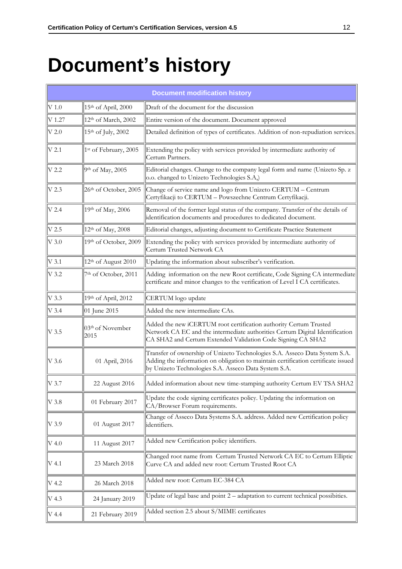# <span id="page-14-0"></span>**Document's history**

|                   | <b>Document modification history</b> |                                                                                                                                                                                                                         |  |
|-------------------|--------------------------------------|-------------------------------------------------------------------------------------------------------------------------------------------------------------------------------------------------------------------------|--|
| $V$ 1.0           | 15th of April, 2000                  | Draft of the document for the discussion                                                                                                                                                                                |  |
| $V$ 1.27          | 12th of March, 2002                  | Entire version of the document. Document approved                                                                                                                                                                       |  |
| $V$ 2.0           | 15th of July, 2002                   | Detailed definition of types of certificates. Addition of non-repudiation services.                                                                                                                                     |  |
| $V$ 2.1           | 1st of February, 2005                | Extending the policy with services provided by intermediate authority of<br>Certum Partners.                                                                                                                            |  |
| $V$ 2.2           | 9th of May, 2005                     | Editorial changes. Change to the company legal form and name (Unizeto Sp. z<br>o.o. changed to Unizeto Technologies S.A,)                                                                                               |  |
| V <sub>2.3</sub>  | 26th of October, 2005                | Change of service name and logo from Unizeto CERTUM - Centrum<br>Certyfikacji to CERTUM - Powszechne Centrum Certyfikacji.                                                                                              |  |
| $V$ 2.4           | 19th of May, 2006                    | Removal of the former legal status of the company. Transfer of the details of<br>identification documents and procedures to dedicated document.                                                                         |  |
| $V$ 2.5           | 12th of May, 2008                    | Editorial changes, adjusting document to Certificate Practice Statement                                                                                                                                                 |  |
| $V$ 3.0           | 19th of October, 2009                | Extending the policy with services provided by intermediate authority of<br>Certum Trusted Network CA                                                                                                                   |  |
| $V$ 3.1           | 12 <sup>th</sup> of August 2010      | Updating the information about subscriber's verification.                                                                                                                                                               |  |
| $V$ 3.2           | 7th of October, 2011                 | Adding information on the new Root certificate, Code Signing CA intermediate<br>certificate and minor changes to the verification of Level I CA certificates.                                                           |  |
| $V$ 3.3           | 19th of April, 2012                  | CERTUM logo update                                                                                                                                                                                                      |  |
| $V$ 3.4           | 01 June 2015                         | Added the new intermediate CAs.                                                                                                                                                                                         |  |
| $\rm{V}$ 3.5      | 03 <sup>th</sup> of November<br>2015 | Added the new iCERTUM root certification authority Certum Trusted<br>Network CA EC and the intermediate authorities Certum Digital Identification<br>CA SHA2 and Certum Extended Validation Code Signing CA SHA2        |  |
| $V$ 3.6           | 01 April, 2016                       | Transfer of ownership of Unizeto Technologies S.A. Asseco Data System S.A.<br>Adding the information on obligation to maintain certification certificate issued<br>by Unizeto Technologies S.A. Asseco Data System S.A. |  |
| $\parallel$ V 3.7 | 22 August 2016                       | Added information about new time-stamping authority Certum EV TSA SHA2                                                                                                                                                  |  |
| $\rm{V}$ 3.8      | 01 February 2017                     | Update the code signing certificates policy. Updating the information on<br>CA/Browser Forum requirements.                                                                                                              |  |
| $\parallel$ V 3.9 | 01 August 2017                       | Change of Asseco Data Systems S.A. address. Added new Certification policy<br>identifiers.                                                                                                                              |  |
| V 4.0             | 11 August 2017                       | Added new Certification policy identifiers.                                                                                                                                                                             |  |
| $\rm{V}$ 4.1      | 23 March 2018                        | Changed root name from Certum Trusted Network CA EC to Certum Elliptic<br>Curve CA and added new root: Certum Trusted Root CA                                                                                           |  |
| V 4.2             | 26 March 2018                        | Added new root: Certum EC-384 CA                                                                                                                                                                                        |  |
| V 4.3             | 24 January 2019                      | Update of legal base and point 2 - adaptation to current technical possibities.                                                                                                                                         |  |
| V 4.4             | 21 February 2019                     | Added section 2.5 about S/MIME certificates                                                                                                                                                                             |  |